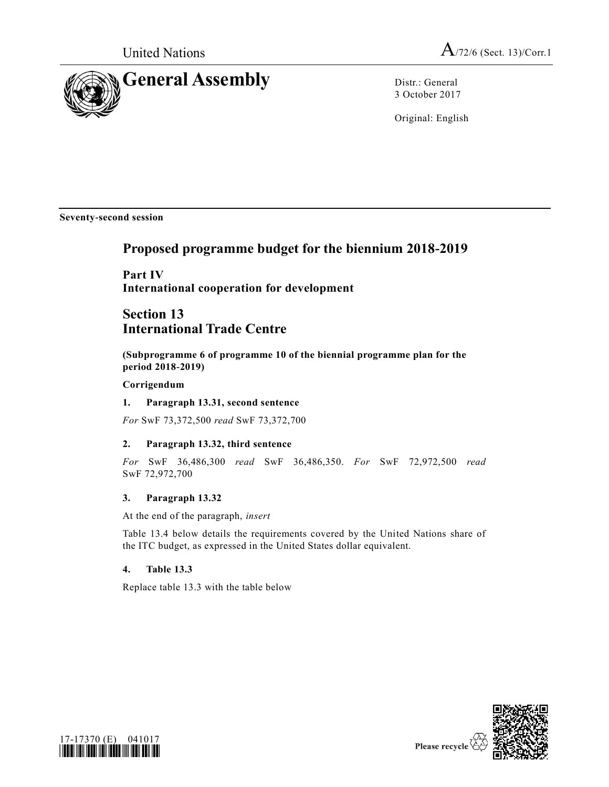

3 October 2017

Original: English

**Seventy-second session**

# **Proposed programme budget for the biennium 2018-2019**

**Part IV International cooperation for development**

## **Section 13 International Trade Centre**

**(Subprogramme 6 of programme 10 of the biennial programme plan for the period 2018-2019)** 

## **Corrigendum**

## **1. Paragraph 13.31, second sentence**

*For* SwF 73,372,500 *read* SwF 73,372,700

## **2. Paragraph 13.32, third sentence**

*For* SwF 36,486,300 *read* SwF 36,486,350. *For* SwF 72,972,500 *read* SwF 72,972,700

## **3. Paragraph 13.32**

At the end of the paragraph, *insert*

Table 13.4 below details the requirements covered by the United Nations share of the ITC budget, as expressed in the United States dollar equivalent.

## **4. Table 13.3**

Replace table 13.3 with the table below